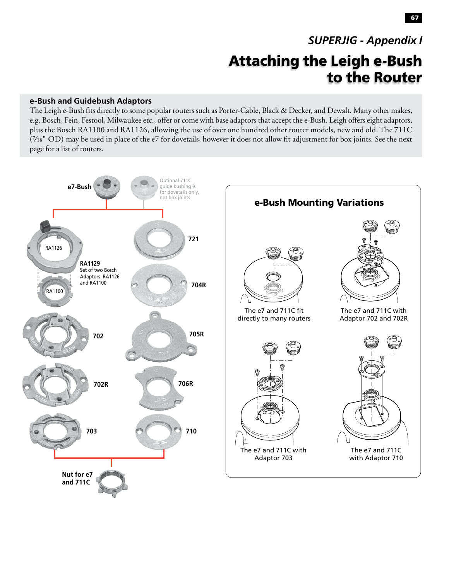# Attaching the Leigh e-Bush to the Router *SUPERJIG - Appendix I*

## **e-Bush and Guidebush Adaptors**

The Leigh e-Bush fits directly to some popular routers such as Porter-Cable, Black & Decker, and Dewalt. Many other makes, e.g. Bosch, Fein, Festool, Milwaukee etc., offer or come with base adaptors that accept the e-Bush. Leigh offers eight adaptors, plus the Bosch RA1100 and RA1126, allowing the use of over one hundred other router models, new and old. The 711C (**7⁄16"** OD) may be used in place of the e7 for dovetails, however it does not allow fit adjustment for box joints. See the next page for a list of routers.